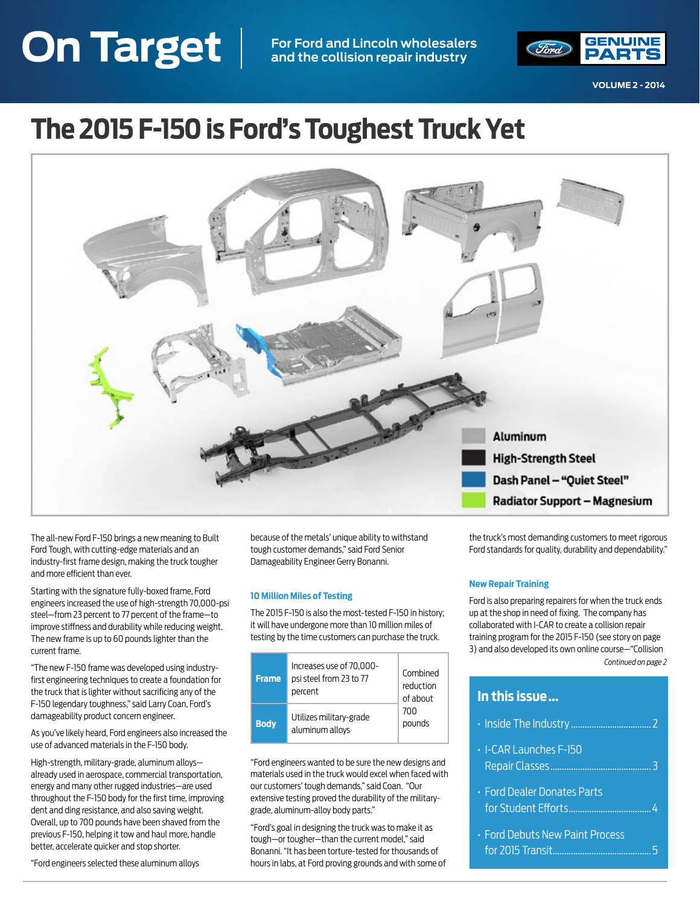# <span id="page-0-0"></span>**On Target VOLUME 2 - 2014 On Target For Ford and Lincoln wholesalers and the collision repair industry**



**VOLUME 2 - 2014**

# **The 2015 F-150 is Ford's Toughest Truck Yet**



The all-new Ford F-150 brings a new meaning to Built Ford Tough, with cutting-edge materials and an industry-first frame design, making the truck tougher and more efficient than ever.

Starting with the signature fully-boxed frame, Ford engineers increased the use of high-strength 70,000-psi steel—from 23 percent to 77 percent of the frame—to improve stiffness and durability while reducing weight. The new frame is up to 60 pounds lighter than the current frame.

"The new F-150 frame was developed using industryfirst engineering techniques to create a foundation for the truck that is lighter without sacrificing any of the F-150 legendary toughness," said Larry Coan, Ford's damageability product concern engineer.

As you've likely heard, Ford engineers also increased the use of advanced materials in the F-150 body.

High-strength, military-grade, aluminum alloys already used in aerospace, commercial transportation, energy and many other rugged industries—are used throughout the F-150 body for the first time, improving dent and ding resistance, and also saving weight. Overall, up to 700 pounds have been shaved from the previous F-150, helping it tow and haul more, handle better, accelerate quicker and stop shorter.

"Ford engineers selected these aluminum alloys

because of the metals' unique ability to withstand tough customer demands," said Ford Senior Damageability Engineer Gerry Bonanni.

#### **10 Million Miles of Testing**

The 2015 F-150 is also the most-tested F-150 in history; it will have undergone more than 10 million miles of testing by the time customers can purchase the truck.

| <b>Frame</b> | Increases use of 70,000-<br>psi steel from 23 to 77<br>percent | Combined<br>reduction<br>of about |
|--------------|----------------------------------------------------------------|-----------------------------------|
| <b>Body</b>  | Utilizes military-grade<br>aluminum alloys                     | 700<br>pounds                     |

"Ford engineers wanted to be sure the new designs and materials used in the truck would excel when faced with our customers' tough demands," said Coan. "Our extensive testing proved the durability of the militarygrade, aluminum-alloy body parts."

"Ford's goal in designing the truck was to make it as tough—or tougher—than the current model," said Bonanni. "It has been torture-tested for thousands of hours in labs, at Ford proving grounds and with some of the truck's most demanding customers to meet rigorous Ford standards for quality, durability and dependability."

#### **New Repair Training**

**In this issue …** 

Ford is also preparing repairers for when the truck ends up at the shop in need of fixing. The company has collaborated with I-CAR to create a collision repair training program for the 2015 F-150 (see story on page 3) and also developed its own online course—"Collision *[Continued on page 2](#page-1-0)*

## [• Inside The Industry](#page-1-0) ................................... 2 • I-CAR Launches F-150 [Repair Classes............................................](#page-2-0) 3 • Ford Dealer Donates Parts [for Student Efforts....................................4](#page-3-0) • Ford Debuts New Paint Process [for 2015 Transit...........................................5](#page-4-0)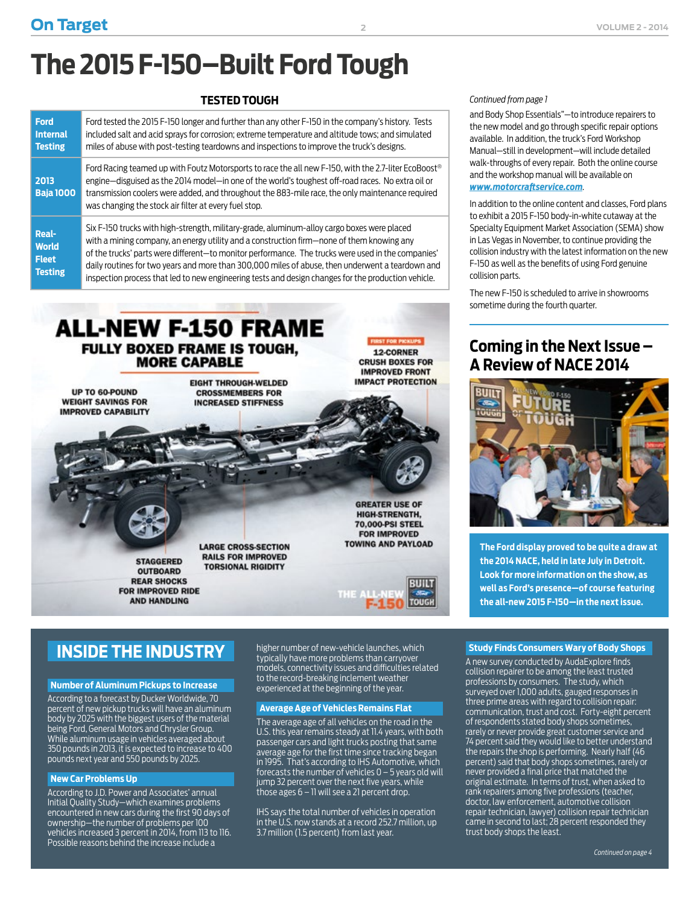# <span id="page-1-0"></span>**The 2015 F-150–Built Ford Tough**

## **TESTED TOUGH** *[Continued from page 1](#page-0-0)*

| <b>Ford</b><br><b>Internal</b><br><b>Testing</b> | Ford tested the 2015 F-150 longer and further than any other F-150 in the company's history. Tests<br>included salt and acid sprays for corrosion; extreme temperature and altitude tows; and simulated<br>miles of abuse with post-testing teardowns and inspections to improve the truck's designs.                                                                  |
|--------------------------------------------------|------------------------------------------------------------------------------------------------------------------------------------------------------------------------------------------------------------------------------------------------------------------------------------------------------------------------------------------------------------------------|
| 2013<br><b>Baja 1000</b>                         | Ford Racing teamed up with Foutz Motorsports to race the all new F-150, with the 2.7-liter EcoBoost®<br>engine—disguised as the 2014 model—in one of the world's toughest off-road races. No extra oil or<br>transmission coolers were added, and throughout the 883-mile race, the only maintenance required<br>was changing the stock air filter at every fuel stop. |
| <b>Real-</b>                                     | Six F-150 trucks with high-strength, military-grade, aluminum-alloy cargo boxes were placed<br>with a mining company, an energy utility and a construction firm—none of them knowing any                                                                                                                                                                               |

**World Fleet Testing** company, an energy utility and a construction firm—none of them knowing any of the trucks' parts were different—to monitor performance. The trucks were used in the companies' daily routines for two years and more than 300,000 miles of abuse, then underwent a teardown and inspection process that led to new engineering tests and design changes for the production vehicle.



and Body Shop Essentials"—to introduce repairers to the new model and go through specific repair options available. In addition, the truck's Ford Workshop Manual—still in development—will include detailed walk-throughs of every repair. Both the online course and the workshop manual will be available on *[www.motorcraftservice.com](http://www.motorcraftservice.com)*.

In addition to the online content and classes, Ford plans to exhibit a 2015 F-150 body-in-white cutaway at the Specialty Equipment Market Association (SEMA) show in Las Vegas in November, to continue providing the collision industry with the latest information on the new F-150 as well as the benefits of using Ford genuine collision parts.

The new F-150 is scheduled to arrive in showrooms sometime during the fourth quarter.

## **Coming in the Next Issue – A Review of NACE 2014**



**The Ford display proved to be quite a draw at the 2014 NACE, held in late July in Detroit. Look for more information on the show, as well as Ford's presence—of course featuring the all-new 2015 F-150—in the next issue.**

## **INSIDE THE INDUSTRY**

#### **Number of Aluminum Pickups to Increase**

According to a forecast by Ducker Worldwide, 70 percent of new pickup trucks will have an aluminum body by 2025 with the biggest users of the material being Ford, General Motors and Chrysler Group. While aluminum usage in vehicles averaged about 350 pounds in 2013, it is expected to increase to 400 pounds next year and 550 pounds by 2025.

#### **New Car Problems Up**

According to J.D. Power and Associates' annual Initial Quality Study—which examines problems encountered in new cars during the first 90 days of ownership—the number of problems per 100 vehicles increased 3 percent in 2014, from 113 to 116. Possible reasons behind the increase include a

higher number of new-vehicle launches, which typically have more problems than carryover models, connectivity issues and difficulties related to the record-breaking inclement weather experienced at the beginning of the year.

#### **Average Age of Vehicles Remains Flat**

The average age of all vehicles on the road in the U.S. this year remains steady at 11.4 years, with both passenger cars and light trucks posting that same average age for the first time since tracking began in 1995. That's according to IHS Automotive, which forecasts the number of vehicles 0 – 5 years old will jump 32 percent over the next five years, while those ages 6 – 11 will see a 21 percent drop.

IHS says the total number of vehicles in operation in the U.S. now stands at a record 252.7 million, up 3.7 million (1.5 percent) from last year.

#### **Study Finds Consumers Wary of Body Shops**

A new survey conducted by AudaExplore finds collision repairer to be among the least trusted professions by consumers. The study, which surveyed over 1,000 adults, gauged responses in three prime areas with regard to collision repair: communication, trust and cost. Forty-eight percent of respondents stated body shops sometimes, rarely or never provide great customer service and 74 percent said they would like to better understand the repairs the shop is performing. Nearly half (46 percent) said that body shops sometimes, rarely or never provided a final price that matched the original estimate. In terms of trust, when asked to rank repairers among five professions (teacher, doctor, law enforcement, automotive collision repair technician, lawyer) collision repair technician came in second to last; 28 percent responded they trust body shops the least.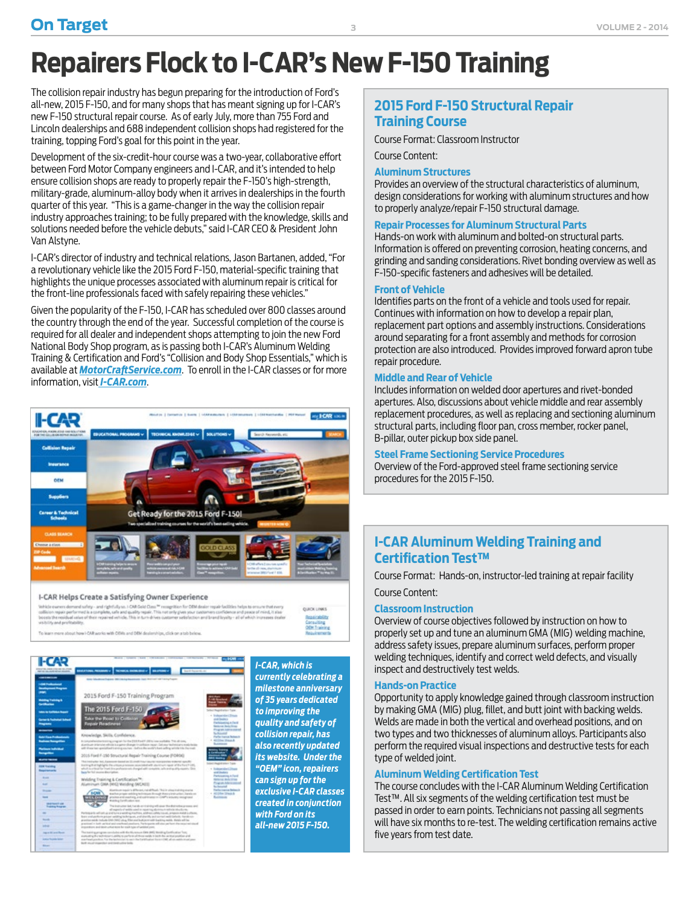# <span id="page-2-0"></span>**Repairers Flock to I-CAR's New F-150 Training**

The collision repair industry has begun preparing for the introduction of Ford's all-new, 2015 F-150, and for many shops that has meant signing up for I-CAR's new F-150 structural repair course. As of early July, more than 755 Ford and Lincoln dealerships and 688 independent collision shops had registered for the training, topping Ford's goal for this point in the year.

Development of the six-credit-hour course was a two-year, collaborative effort between Ford Motor Company engineers and I-CAR, and it's intended to help ensure collision shops are ready to properly repair the F-150's high-strength, military-grade, aluminum-alloy body when it arrives in dealerships in the fourth quarter of this year. "This is a game-changer in the way the collision repair industry approaches training; to be fully prepared with the knowledge, skills and solutions needed before the vehicle debuts," said I-CAR CEO & President John Van Alstyne.

I-CAR's director of industry and technical relations, Jason Bartanen, added, "For a revolutionary vehicle like the 2015 Ford F-150, material-specific training that highlights the unique processes associated with aluminum repair is critical for the front-line professionals faced with safely repairing these vehicles."

Given the popularity of the F-150, I-CAR has scheduled over 800 classes around the country through the end of the year. Successful completion of the course is required for all dealer and independent shops attempting to join the new Ford National Body Shop program, as is passing both I-CAR's Aluminum Welding Training & Certification and Ford's "Collision and Body Shop Essentials," which is available at *[MotorCraftService.com](http://MotorCraftService.com)*. To enroll in the I-CAR classes or for more information, visit*[I-CAR.com](http://I-CAR.com)*.



#### I-CAR Helps Create a Satisfying Owner Experience

.<br>Vehicle cuaners demond suffery - and rightfully so. I-CAR Gold Class <sup>to</sup> recognition for<br>Solitiston repair performed is a complete, safe and quality repair. This not only pives y<br>boosts the residual usine of their repai **GUICK LINKS Reserved No deal perinting** Consulting<br>OEM Training

To learn more shout heart CAR works with OEM: and OEM dealer



*currently celebrating a milestone anniversary of 35 years dedicated to improving the quality and safety of collision repair, has also recently updated its website. Under the "OEM" icon, repairers can sign up for the exclusive I-CAR classes created in conjunction with Ford on its all-new 2015 F-150.*

## **2015 Ford F-150 Structural Repair Training Course**

Course Format: Classroom Instructor

Course Content:

#### **Aluminum Structures**

Provides an overview of the structural characteristics of aluminum, design considerations for working with aluminum structures and how to properly analyze/repair F-150 structural damage.

#### **Repair Processes for Aluminum Structural Parts**

Hands-on work with aluminum and bolted-on structural parts. Information is offered on preventing corrosion, heating concerns, and grinding and sanding considerations. Rivet bonding overview as well as F-150-specific fasteners and adhesives will be detailed.

#### **Front of Vehicle**

Identifies parts on the front of a vehicle and tools used for repair. Continues with information on how to develop a repair plan, replacement part options and assembly instructions. Considerations around separating for a front assembly and methods for corrosion protection are also introduced. Provides improved forward apron tube repair procedure.

#### **Middle and Rear of Vehicle**

Includes information on welded door apertures and rivet-bonded apertures. Also, discussions about vehicle middle and rear assembly replacement procedures, as well as replacing and sectioning aluminum structural parts, including floor pan, cross member, rocker panel, B-pillar, outer pickup box side panel.

#### **Steel Frame Sectioning Service Procedures**

Overview of the Ford-approved steel frame sectioning service procedures for the 2015 F-150.

### **I-CAR Aluminum Welding Training and Certification Test™**

Course Format: Hands-on, instructor-led training at repair facility Course Content:

#### **Classroom Instruction**

Overview of course objectives followed by instruction on how to properly set up and tune an aluminum GMA (MIG) welding machine, address safety issues, prepare aluminum surfaces, perform proper welding techniques, identify and correct weld defects, and visually inspect and destructively test welds.

#### **Hands-on Practice**

Opportunity to apply knowledge gained through classroom instruction by making GMA (MIG) plug, fillet, and butt joint with backing welds. Welds are made in both the vertical and overhead positions, and on two types and two thicknesses of aluminum alloys. Participants also perform the required visual inspections and destructive tests for each type of welded joint.

#### **Aluminum Welding Certification Test**

The course concludes with the I-CAR Aluminum Welding Certification Test™. All six segments of the welding certification test must be passed in order to earn points. Technicians not passing all segments will have six months to re-test. The welding certification remains active five years from test date.

**3**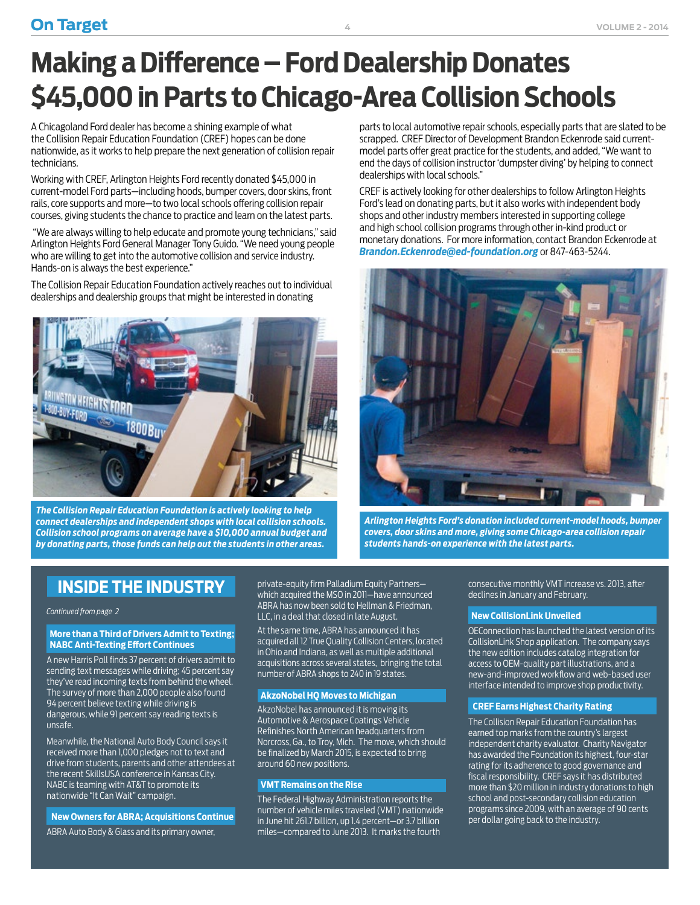# <span id="page-3-0"></span>**Making a Difference – Ford Dealership Donates \$45,000 in Parts to Chicago-Area Collision Schools**

A Chicagoland Ford dealer has become a shining example of what the Collision Repair Education Foundation (CREF) hopes can be done nationwide, as it works to help prepare the next generation of collision repair technicians.

Working with CREF, Arlington Heights Ford recently donated \$45,000 in current-model Ford parts—including hoods, bumper covers, door skins, front rails, core supports and more—to two local schools offering collision repair courses, giving students the chance to practice and learn on the latest parts.

 "We are always willing to help educate and promote young technicians," said Arlington Heights Ford General Manager Tony Guido. "We need young people who are willing to get into the automotive collision and service industry. Hands-on is always the best experience."

The Collision Repair Education Foundation actively reaches out to individual dealerships and dealership groups that might be interested in donating



*The Collision Repair Education Foundation is actively looking to help connect dealerships and independent shops with local collision schools. Collision school programs on average have a \$10,000 annual budget and by donating parts, those funds can help out the students in other areas.* 

parts to local automotive repair schools, especially parts that are slated to be scrapped. CREF Director of Development Brandon Eckenrode said currentmodel parts offer great practice for the students, and added, "We want to end the days of collision instructor 'dumpster diving' by helping to connect dealerships with local schools."

CREF is actively looking for other dealerships to follow Arlington Heights Ford's lead on donating parts, but it also works with independent body shops and other industry members interested in supporting college and high school collision programs through other in-kind product or monetary donations. For more information, contact Brandon Eckenrode at *Brandon.Eckenrode@ed-foundation.org* or 847-463-5244.



*Arlington Heights Ford's donation included current-model hoods, bumper covers, door skins and more, giving some Chicago-area collision repair students hands-on experience with the latest parts.*

## **INSIDE THE INDUSTRY**

#### *[Continued from page 2](#page-1-0)*

#### **More than a Third of Drivers Admit to Texting; NABC Anti-Texting Effort Continues**

A new Harris Poll finds 37 percent of drivers admit to sending text messages while driving; 45 percent say they've read incoming texts from behind the wheel. The survey of more than 2,000 people also found 94 percent believe texting while driving is dangerous, while 91 percent say reading texts is unsafe.

Meanwhile, the National Auto Body Council says it received more than 1,000 pledges not to text and drive from students, parents and other attendees at the recent SkillsUSA conference in Kansas City. NABC is teaming with AT&T to promote its nationwide "It Can Wait" campaign.

#### **New Owners for ABRA; Acquisitions Continue**

ABRA Auto Body & Glass and its primary owner,

private-equity firm Palladium Equity Partners which acquired the MSO in 2011—have announced ABRA has now been sold to Hellman & Friedman, LLC, in a deal that closed in late August.

At the same time, ABRA has announced it has acquired all 12 True Quality Collision Centers, located in Ohio and Indiana, as well as multiple additional acquisitions across several states, bringing the total number of ABRA shops to 240 in 19 states.

#### **AkzoNobel HQ Moves to Michigan**

AkzoNobel has announced it is moving its Automotive & Aerospace Coatings Vehicle Refinishes North American headquarters from Norcross, Ga., to Troy, Mich. The move, which should be finalized by March 2015, is expected to bring around 60 new positions.

#### **VMT Remains on the Rise**

The Federal Highway Administration reports the number of vehicle miles traveled (VMT) nationwide in June hit 261.7 billion, up 1.4 percent—or 3.7 billion miles—compared to June 2013. It marks the fourth

consecutive monthly VMT increase vs. 2013, after declines in January and February.

#### **New CollisionLink Unveiled**

OEConnection has launched the latest version of its CollisionLink Shop application. The company says the new edition includes catalog integration for access to OEM-quality part illustrations, and a new-and-improved workflow and web-based user interface intended to improve shop productivity.

#### **CREF Earns Highest Charity Rating**

The Collision Repair Education Foundation has earned top marks from the country's largest independent charity evaluator. Charity Navigator has awarded the Foundation its highest, four-star rating for its adherence to good governance and fiscal responsibility. CREF says it has distributed more than \$20 million in industry donations to high school and post-secondary collision education programs since 2009, with an average of 90 cents per dollar going back to the industry.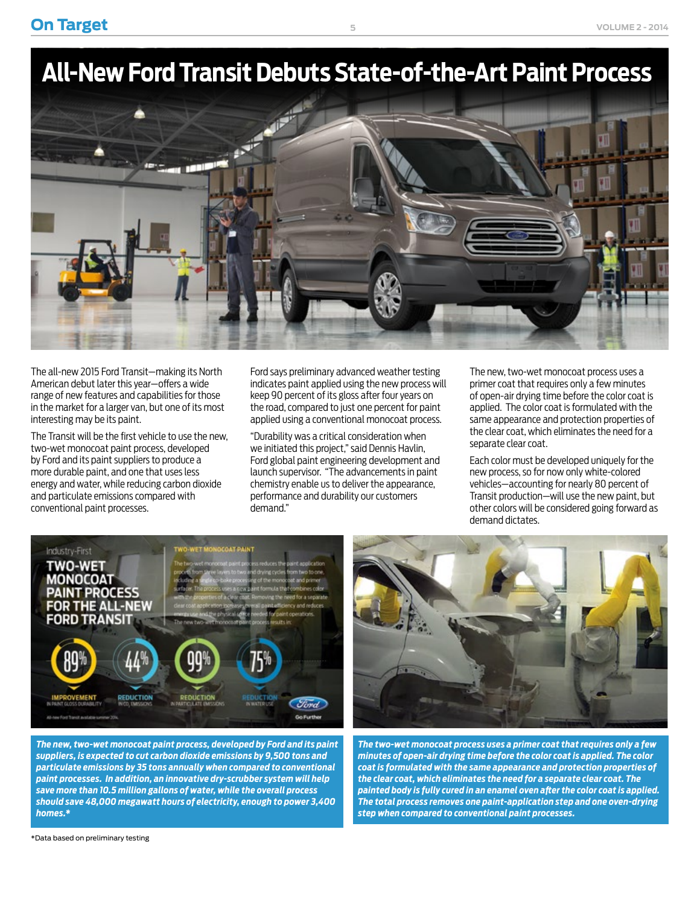<span id="page-4-0"></span>**On Target** volume 2 - 2014

# **All-New Ford Transit Debuts State-of-the-Art Paint Process**



The all-new 2015 Ford Transit—making its North American debut later this year—offers a wide range of new features and capabilities for those in the market for a larger van, but one of its most interesting may be its paint.

The Transit will be the first vehicle to use the new, two-wet monocoat paint process, developed by Ford and its paint suppliers to produce a more durable paint, and one that uses less energy and water, while reducing carbon dioxide and particulate emissions compared with conventional paint processes.

Ford says preliminary advanced weather testing indicates paint applied using the new process will keep 90 percent of its gloss after four years on the road, compared to just one percent for paint applied using a conventional monocoat process.

"Durability was a critical consideration when we initiated this project," said Dennis Havlin, Ford global paint engineering development and launch supervisor. "The advancements in paint chemistry enable us to deliver the appearance, performance and durability our customers demand."

The new, two-wet monocoat process uses a primer coat that requires only a few minutes of open-air drying time before the color coat is applied. The color coat is formulated with the same appearance and protection properties of the clear coat, which eliminates the need for a separate clear coat.

Each color must be developed uniquely for the new process, so for now only white-colored vehicles—accounting for nearly 80 percent of Transit production—will use the new paint, but other colors will be considered going forward as demand dictates.



*The new, two-wet monocoat paint process, developed by Ford and its paint suppliers, is expected to cut carbon dioxide emissions by 9,500 tons and particulate emissions by 35 tons annually when compared to conventional paint processes. In addition, an innovative dry-scrubber system will help save more than 10.5 million gallons of water, while the overall process should save 48,000 megawatt hours of electricity, enough to power 3,400 homes.\**



*The two-wet monocoat process uses a primer coat that requires only a few minutes of open-air drying time before the color coat is applied. The color coat is formulated with the same appearance and protection properties of the clear coat, which eliminates the need for a separate clear coat. The painted body is fully cured in an enamel oven after the color coat is applied. The total process removes one paint-application step and one oven-drying step when compared to conventional paint processes.*

\*Data based on preliminary testing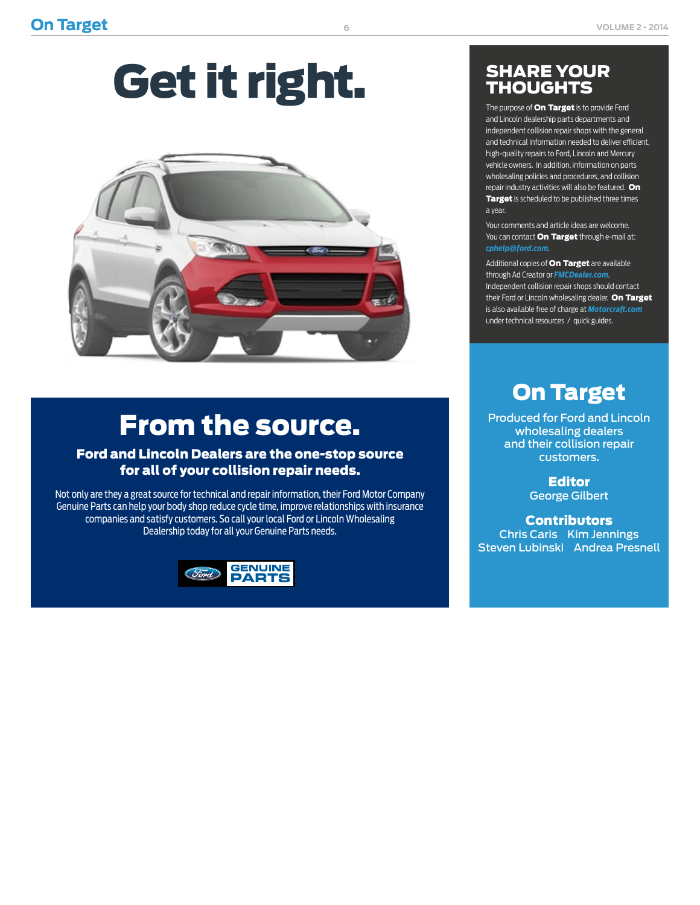# Get it right.



# From the source.

## Ford and Lincoln Dealers are the one-stop source for all of your collision repair needs.

Not only are they a great source for technical and repair information, their Ford Motor Company Genuine Parts can help your body shop reduce cycle time, improve relationships with insurance companies and satisfy customers. So call your local Ford or Lincoln Wholesaling Dealership today for all your Genuine Parts needs.



## SHARE YOUR **THOUGHTS**

The purpose of **On Target** is to provide Ford and Lincoln dealership parts departments and independent collision repair shops with the general and technical information needed to deliver efficient, high-quality repairs to Ford, Lincoln and Mercury vehicle owners. In addition, information on parts wholesaling policies and procedures, and collision repair industry activities will also be featured. On Target is scheduled to be published three times a year.

Your comments and article ideas are welcome. You can contact **On Target** through e-mail at: *[cphelp@ford.com](mailto:cphelp@ford.com)*.

Additional copies of **On Target** are available through Ad Creator or *[FMCDealer.com](https://www.wslx.dealerconnection.com)*. Independent collision repair shops should contact their Ford or Lincoln wholesaling dealer. On Target is also available free of charge at *[Motorcraft.com](http://Motorcraft.com)* under technical resources / quick guides.

# On Target

Produced for Ford and Lincoln wholesaling dealers and their collision repair customers.

> Editor George Gilbert

**Contributors** Chris Caris Kim Jennings Steven Lubinski Andrea Presnell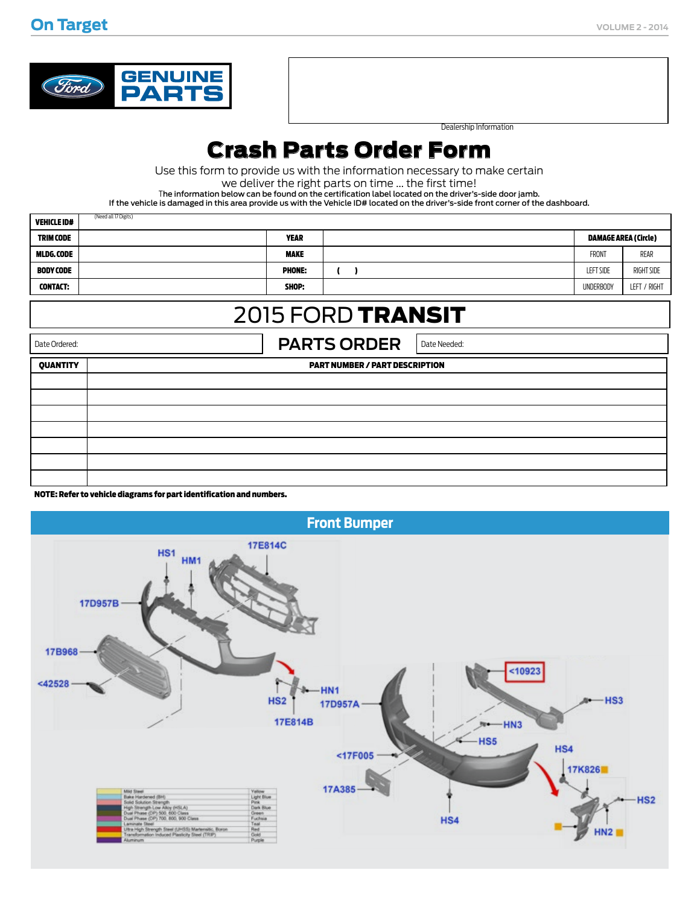

d all 17 Digits

Dealership Information

## Crash Parts Order Form

Use this form to provide us with the information necessary to make certain

we deliver the right parts on time ... the first time!

The information below can be found on the certification label located on the driver's-side door jamb.

If the vehicle is damaged in this area provide us with the Vehicle ID# located on the driver's-side front corner of the dashboard.

| <b>VEHICLE ID#</b> | (Need all 17 Digits) |               |                             |              |
|--------------------|----------------------|---------------|-----------------------------|--------------|
| <b>TRIM CODE</b>   |                      | <b>YEAR</b>   | <b>DAMAGE AREA (Circle)</b> |              |
| <b>MLDG.CODE</b>   |                      | <b>MAKE</b>   | <b>FRONT</b>                | REAR         |
| <b>BODY CODE</b>   |                      | <b>PHONE:</b> | <b>LEFT SIDE</b>            | RIGHT SIDE   |
| <b>CONTACT:</b>    |                      | SHOP:         | <b>UNDERBODY</b>            | LEFT / RIGHT |

## 2015 FORD TRANSIT

Date Ordered: **PARTS ORDER** Date Needed: QUANTITY PART NUMBER / PART DESCRIPTION

NOTE: Refer to vehicle diagrams for part identification and numbers.